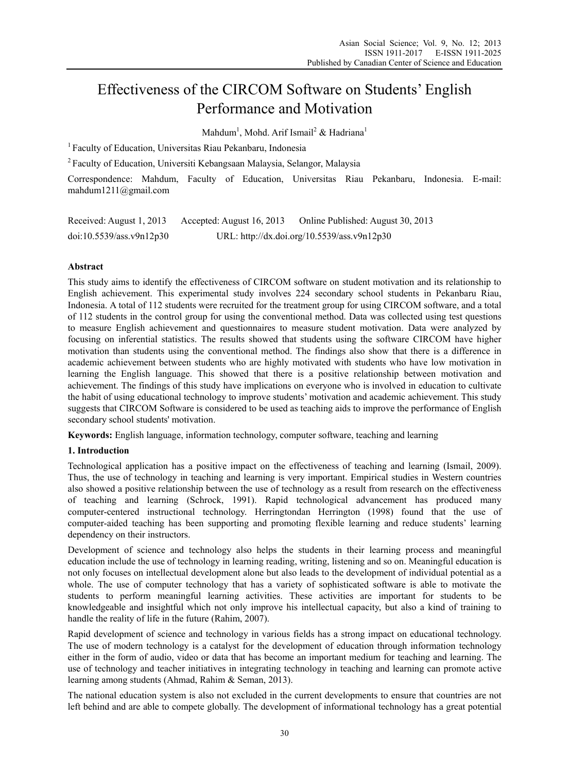# Effectiveness of the CIRCOM Software on Students' English Performance and Motivation

Mahdum<sup>1</sup>, Mohd. Arif Ismail<sup>2</sup> & Hadriana<sup>1</sup>

1 Faculty of Education, Universitas Riau Pekanbaru, Indonesia

2 Faculty of Education, Universiti Kebangsaan Malaysia, Selangor, Malaysia

Correspondence: Mahdum, Faculty of Education, Universitas Riau Pekanbaru, Indonesia. E-mail: mahdum1211@gmail.com

| Received: August 1, 2013 | Accepted: August 16, 2013 | Online Published: August 30, 2013           |
|--------------------------|---------------------------|---------------------------------------------|
| doi:10.5539/ass.v9n12p30 |                           | URL: http://dx.doi.org/10.5539/ass.v9n12p30 |

# **Abstract**

This study aims to identify the effectiveness of CIRCOM software on student motivation and its relationship to English achievement. This experimental study involves 224 secondary school students in Pekanbaru Riau, Indonesia. A total of 112 students were recruited for the treatment group for using CIRCOM software, and a total of 112 students in the control group for using the conventional method. Data was collected using test questions to measure English achievement and questionnaires to measure student motivation. Data were analyzed by focusing on inferential statistics. The results showed that students using the software CIRCOM have higher motivation than students using the conventional method. The findings also show that there is a difference in academic achievement between students who are highly motivated with students who have low motivation in learning the English language. This showed that there is a positive relationship between motivation and achievement. The findings of this study have implications on everyone who is involved in education to cultivate the habit of using educational technology to improve students' motivation and academic achievement. This study suggests that CIRCOM Software is considered to be used as teaching aids to improve the performance of English secondary school students' motivation.

**Keywords:** English language, information technology, computer software, teaching and learning

## **1. Introduction**

Technological application has a positive impact on the effectiveness of teaching and learning (Ismail, 2009). Thus, the use of technology in teaching and learning is very important. Empirical studies in Western countries also showed a positive relationship between the use of technology as a result from research on the effectiveness of teaching and learning (Schrock, 1991). Rapid technological advancement has produced many computer-centered instructional technology. Herringtondan Herrington (1998) found that the use of computer-aided teaching has been supporting and promoting flexible learning and reduce students' learning dependency on their instructors.

Development of science and technology also helps the students in their learning process and meaningful education include the use of technology in learning reading, writing, listening and so on. Meaningful education is not only focuses on intellectual development alone but also leads to the development of individual potential as a whole. The use of computer technology that has a variety of sophisticated software is able to motivate the students to perform meaningful learning activities. These activities are important for students to be knowledgeable and insightful which not only improve his intellectual capacity, but also a kind of training to handle the reality of life in the future (Rahim, 2007).

Rapid development of science and technology in various fields has a strong impact on educational technology. The use of modern technology is a catalyst for the development of education through information technology either in the form of audio, video or data that has become an important medium for teaching and learning. The use of technology and teacher initiatives in integrating technology in teaching and learning can promote active learning among students (Ahmad, Rahim & Seman, 2013).

The national education system is also not excluded in the current developments to ensure that countries are not left behind and are able to compete globally. The development of informational technology has a great potential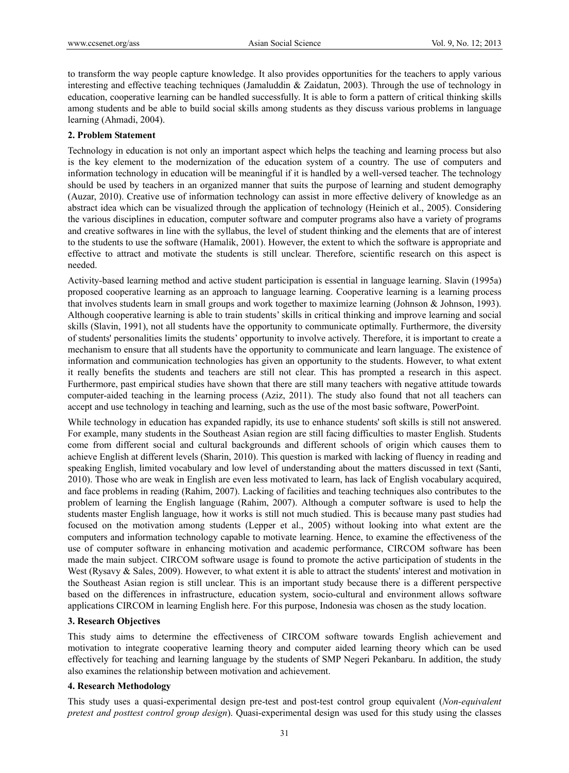to transform the way people capture knowledge. It also provides opportunities for the teachers to apply various interesting and effective teaching techniques (Jamaluddin & Zaidatun, 2003). Through the use of technology in education, cooperative learning can be handled successfully. It is able to form a pattern of critical thinking skills among students and be able to build social skills among students as they discuss various problems in language learning (Ahmadi, 2004).

# **2. Problem Statement**

Technology in education is not only an important aspect which helps the teaching and learning process but also is the key element to the modernization of the education system of a country. The use of computers and information technology in education will be meaningful if it is handled by a well-versed teacher. The technology should be used by teachers in an organized manner that suits the purpose of learning and student demography (Auzar, 2010). Creative use of information technology can assist in more effective delivery of knowledge as an abstract idea which can be visualized through the application of technology (Heinich et al., 2005). Considering the various disciplines in education, computer software and computer programs also have a variety of programs and creative softwares in line with the syllabus, the level of student thinking and the elements that are of interest to the students to use the software (Hamalik, 2001). However, the extent to which the software is appropriate and effective to attract and motivate the students is still unclear. Therefore, scientific research on this aspect is needed.

Activity-based learning method and active student participation is essential in language learning. Slavin (1995a) proposed cooperative learning as an approach to language learning. Cooperative learning is a learning process that involves students learn in small groups and work together to maximize learning (Johnson & Johnson, 1993). Although cooperative learning is able to train students' skills in critical thinking and improve learning and social skills (Slavin, 1991), not all students have the opportunity to communicate optimally. Furthermore, the diversity of students' personalities limits the students' opportunity to involve actively. Therefore, it is important to create a mechanism to ensure that all students have the opportunity to communicate and learn language. The existence of information and communication technologies has given an opportunity to the students. However, to what extent it really benefits the students and teachers are still not clear. This has prompted a research in this aspect. Furthermore, past empirical studies have shown that there are still many teachers with negative attitude towards computer-aided teaching in the learning process (Aziz, 2011). The study also found that not all teachers can accept and use technology in teaching and learning, such as the use of the most basic software, PowerPoint.

While technology in education has expanded rapidly, its use to enhance students' soft skills is still not answered. For example, many students in the Southeast Asian region are still facing difficulties to master English. Students come from different social and cultural backgrounds and different schools of origin which causes them to achieve English at different levels (Sharin, 2010). This question is marked with lacking of fluency in reading and speaking English, limited vocabulary and low level of understanding about the matters discussed in text (Santi, 2010). Those who are weak in English are even less motivated to learn, has lack of English vocabulary acquired, and face problems in reading (Rahim, 2007). Lacking of facilities and teaching techniques also contributes to the problem of learning the English language (Rahim, 2007). Although a computer software is used to help the students master English language, how it works is still not much studied. This is because many past studies had focused on the motivation among students (Lepper et al., 2005) without looking into what extent are the computers and information technology capable to motivate learning. Hence, to examine the effectiveness of the use of computer software in enhancing motivation and academic performance, CIRCOM software has been made the main subject. CIRCOM software usage is found to promote the active participation of students in the West (Rysavy & Sales, 2009). However, to what extent it is able to attract the students' interest and motivation in the Southeast Asian region is still unclear. This is an important study because there is a different perspective based on the differences in infrastructure, education system, socio-cultural and environment allows software applications CIRCOM in learning English here. For this purpose, Indonesia was chosen as the study location.

## **3. Research Objectives**

This study aims to determine the effectiveness of CIRCOM software towards English achievement and motivation to integrate cooperative learning theory and computer aided learning theory which can be used effectively for teaching and learning language by the students of SMP Negeri Pekanbaru. In addition, the study also examines the relationship between motivation and achievement.

## **4. Research Methodology**

This study uses a quasi-experimental design pre-test and post-test control group equivalent (*Non-equivalent pretest and posttest control group design*). Quasi-experimental design was used for this study using the classes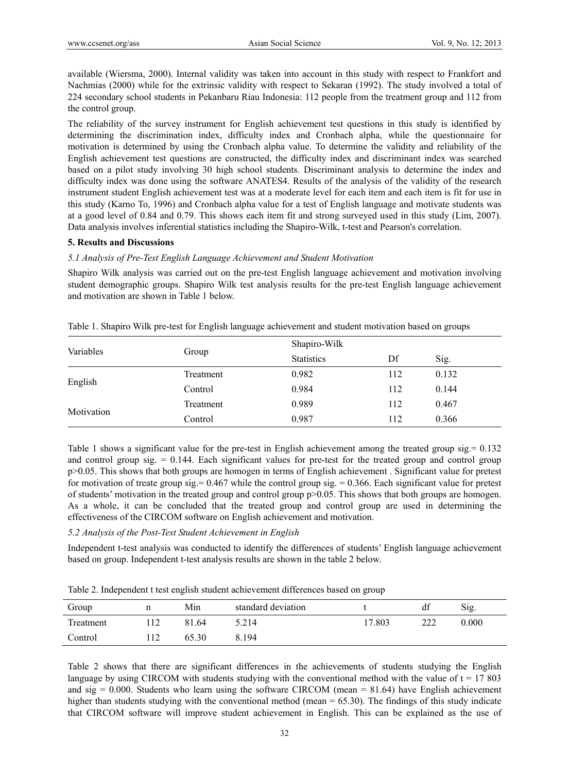available (Wiersma, 2000). Internal validity was taken into account in this study with respect to Frankfort and Nachmias (2000) while for the extrinsic validity with respect to Sekaran (1992). The study involved a total of 224 secondary school students in Pekanbaru Riau Indonesia: 112 people from the treatment group and 112 from the control group.

The reliability of the survey instrument for English achievement test questions in this study is identified by determining the discrimination index, difficulty index and Cronbach alpha, while the questionnaire for motivation is determined by using the Cronbach alpha value. To determine the validity and reliability of the English achievement test questions are constructed, the difficulty index and discriminant index was searched based on a pilot study involving 30 high school students. Discriminant analysis to determine the index and difficulty index was done using the software ANATES4. Results of the analysis of the validity of the research instrument student English achievement test was at a moderate level for each item and each item is fit for use in this study (Karno To, 1996) and Cronbach alpha value for a test of English language and motivate students was at a good level of 0.84 and 0.79. This shows each item fit and strong surveyed used in this study (Lim, 2007). Data analysis involves inferential statistics including the Shapiro-Wilk, t-test and Pearson's correlation.

#### **5. Results and Discussions**

#### *5.1 Analysis of Pre-Test English Language Achievement and Student Motivation*

Shapiro Wilk analysis was carried out on the pre-test English language achievement and motivation involving student demographic groups. Shapiro Wilk test analysis results for the pre-test English language achievement and motivation are shown in Table 1 below.

| Variables  |           | Shapiro-Wilk      |     |       |  |
|------------|-----------|-------------------|-----|-------|--|
|            | Group     | <b>Statistics</b> | Df  | Sig.  |  |
| English    | Treatment | 0.982             | 112 | 0.132 |  |
|            | Control   | 0.984             | 112 | 0.144 |  |
| Motivation | Treatment | 0.989             | 112 | 0.467 |  |
|            | Control   | 0.987             | 112 | 0.366 |  |

|  |  | Table 1. Shapiro Wilk pre-test for English language achievement and student motivation based on groups |
|--|--|--------------------------------------------------------------------------------------------------------|
|  |  |                                                                                                        |

Table 1 shows a significant value for the pre-test in English achievement among the treated group sig.= 0.132 and control group sig. = 0.144. Each significant values for pre-test for the treated group and control group p>0.05. This shows that both groups are homogen in terms of English achievement . Significant value for pretest for motivation of treate group sig.  $= 0.467$  while the control group sig.  $= 0.366$ . Each significant value for pretest of students' motivation in the treated group and control group p>0.05. This shows that both groups are homogen. As a whole, it can be concluded that the treated group and control group are used in determining the effectiveness of the CIRCOM software on English achievement and motivation.

## *5.2 Analysis of the Post-Test Student Achievement in English*

Independent t-test analysis was conducted to identify the differences of students' English language achievement based on group. Independent t-test analysis results are shown in the table 2 below.

Table 2. Independent t test english student achievement differences based on group

| Group     |            | Min   | standard deviation |        | df  | Sig.  |
|-----------|------------|-------|--------------------|--------|-----|-------|
| Treatment |            | 81.64 | 5.214              | 17.803 | 222 | 0.000 |
| Control   | $1 \Omega$ | 65.30 | 8.194              |        |     |       |

Table 2 shows that there are significant differences in the achievements of students studying the English language by using CIRCOM with students studying with the conventional method with the value of  $t = 17803$ and sig  $= 0.000$ . Students who learn using the software CIRCOM (mean  $= 81.64$ ) have English achievement higher than students studying with the conventional method (mean = 65.30). The findings of this study indicate that CIRCOM software will improve student achievement in English. This can be explained as the use of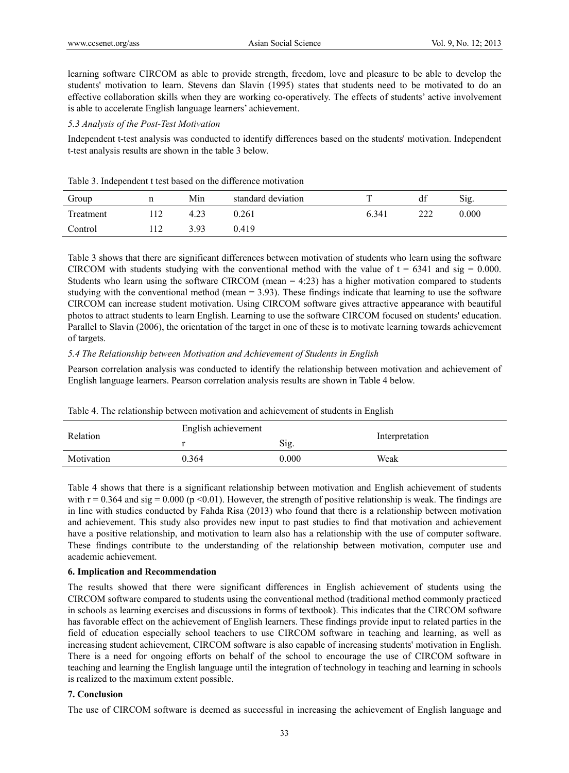learning software CIRCOM as able to provide strength, freedom, love and pleasure to be able to develop the students' motivation to learn. Stevens dan Slavin (1995) states that students need to be motivated to do an effective collaboration skills when they are working co-operatively. The effects of students' active involvement is able to accelerate English language learners' achievement.

## *5.3 Analysis of the Post-Test Motivation*

Independent t-test analysis was conducted to identify differences based on the students' motivation. Independent t-test analysis results are shown in the table 3 below.

| Group     | п  | Min  | standard deviation | Ē     | df         | Sig.  |
|-----------|----|------|--------------------|-------|------------|-------|
| Treatment | 12 | 4.23 | 0.261              | 6.341 | າາາ<br>∠∠∠ | 0.000 |
| Control   | 12 | 3.93 | 0.419              |       |            |       |

Table 3. Independent t test based on the difference motivation

Table 3 shows that there are significant differences between motivation of students who learn using the software CIRCOM with students studying with the conventional method with the value of  $t = 6341$  and sig = 0.000. Students who learn using the software CIRCOM (mean = 4:23) has a higher motivation compared to students studying with the conventional method (mean = 3.93). These findings indicate that learning to use the software CIRCOM can increase student motivation. Using CIRCOM software gives attractive appearance with beautiful photos to attract students to learn English. Learning to use the software CIRCOM focused on students' education. Parallel to Slavin (2006), the orientation of the target in one of these is to motivate learning towards achievement of targets.

## *5.4 The Relationship between Motivation and Achievement of Students in English*

Pearson correlation analysis was conducted to identify the relationship between motivation and achievement of English language learners. Pearson correlation analysis results are shown in Table 4 below.

| Relation   | English achievement |       | Interpretation |  |
|------------|---------------------|-------|----------------|--|
|            |                     | Sig.  |                |  |
| Motivation | 0.364               | 0.000 | Weak           |  |

Table 4. The relationship between motivation and achievement of students in English

Table 4 shows that there is a significant relationship between motivation and English achievement of students with  $r = 0.364$  and sig = 0.000 (p <0.01). However, the strength of positive relationship is weak. The findings are in line with studies conducted by Fahda Risa (2013) who found that there is a relationship between motivation and achievement. This study also provides new input to past studies to find that motivation and achievement have a positive relationship, and motivation to learn also has a relationship with the use of computer software. These findings contribute to the understanding of the relationship between motivation, computer use and academic achievement.

#### **6. Implication and Recommendation**

The results showed that there were significant differences in English achievement of students using the CIRCOM software compared to students using the conventional method (traditional method commonly practiced in schools as learning exercises and discussions in forms of textbook). This indicates that the CIRCOM software has favorable effect on the achievement of English learners. These findings provide input to related parties in the field of education especially school teachers to use CIRCOM software in teaching and learning, as well as increasing student achievement, CIRCOM software is also capable of increasing students' motivation in English. There is a need for ongoing efforts on behalf of the school to encourage the use of CIRCOM software in teaching and learning the English language until the integration of technology in teaching and learning in schools is realized to the maximum extent possible.

## **7. Conclusion**

The use of CIRCOM software is deemed as successful in increasing the achievement of English language and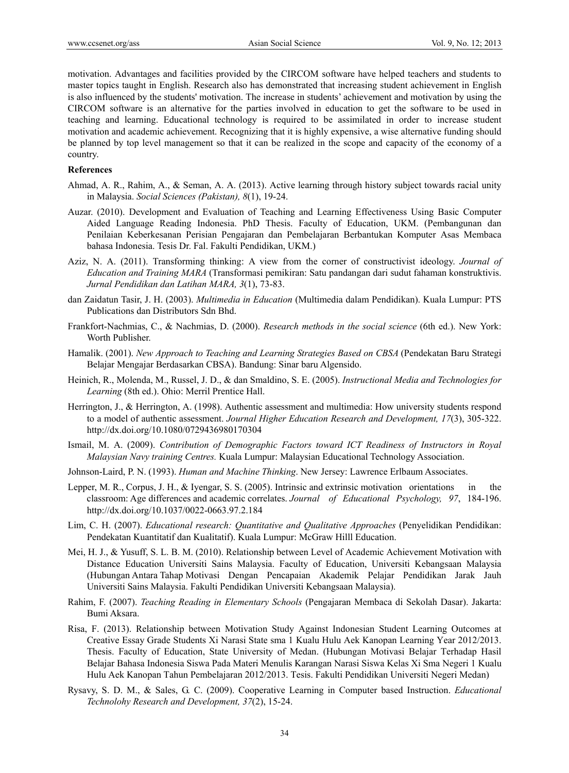motivation. Advantages and facilities provided by the CIRCOM software have helped teachers and students to master topics taught in English. Research also has demonstrated that increasing student achievement in English is also influenced by the students' motivation. The increase in students' achievement and motivation by using the CIRCOM software is an alternative for the parties involved in education to get the software to be used in teaching and learning. Educational technology is required to be assimilated in order to increase student motivation and academic achievement. Recognizing that it is highly expensive, a wise alternative funding should be planned by top level management so that it can be realized in the scope and capacity of the economy of a country.

#### **References**

- Ahmad, A. R., Rahim, A., & Seman, A. A. (2013). Active learning through history subject towards racial unity in Malaysia. *Social Sciences (Pakistan), 8*(1), 19-24.
- Auzar. (2010). Development and Evaluation of Teaching and Learning Effectiveness Using Basic Computer Aided Language Reading Indonesia. PhD Thesis. Faculty of Education, UKM. (Pembangunan dan Penilaian Keberkesanan Perisian Pengajaran dan Pembelajaran Berbantukan Komputer Asas Membaca bahasa Indonesia. Tesis Dr. Fal. Fakulti Pendidikan, UKM.)
- Aziz, N. A. (2011). Transforming thinking: A view from the corner of constructivist ideology. *Journal of Education and Training MARA* (Transformasi pemikiran: Satu pandangan dari sudut fahaman konstruktivis. *Jurnal Pendidikan dan Latihan MARA, 3*(1), 73-83.
- dan Zaidatun Tasir, J. H. (2003). *Multimedia in Education* (Multimedia dalam Pendidikan). Kuala Lumpur: PTS Publications dan Distributors Sdn Bhd.
- Frankfort-Nachmias, C., & Nachmias, D. (2000). *Research methods in the social science* (6th ed.). New York: Worth Publisher.
- Hamalik. (2001). *New Approach to Teaching and Learning Strategies Based on CBSA* (Pendekatan Baru Strategi Belajar Mengajar Berdasarkan CBSA). Bandung: Sinar baru Algensido.
- Heinich, R., Molenda, M., Russel, J. D., & dan Smaldino, S. E. (2005). *Instructional Media and Technologies for Learning* (8th ed.). Ohio: Merril Prentice Hall.
- Herrington, J., & Herrington, A. (1998). Authentic assessment and multimedia: How university students respond to a model of authentic assessment. *Journal Higher Education Research and Development, 17*(3), 305-322. http://dx.doi.org/10.1080/0729436980170304
- Ismail, M. A. (2009). *Contribution of Demographic Factors toward ICT Readiness of Instructors in Royal Malaysian Navy training Centres.* Kuala Lumpur: Malaysian Educational Technology Association.
- Johnson-Laird, P. N. (1993). *Human and Machine Thinking*. New Jersey: Lawrence Erlbaum Associates.
- Lepper, M. R., Corpus, J. H., & Iyengar, S. S. (2005). Intrinsic and extrinsic motivation orientations in the classroom: Age differences and academic correlates. *Journal of Educational Psychology, 97*, 184-196. http://dx.doi.org/10.1037/0022-0663.97.2.184
- Lim, C. H. (2007). *Educational research: Quantitative and Qualitative Approaches* (Penyelidikan Pendidikan: Pendekatan Kuantitatif dan Kualitatif). Kuala Lumpur: McGraw Hilll Education.
- Mei, H. J., & Yusuff, S. L. B. M. (2010). Relationship between Level of Academic Achievement Motivation with Distance Education Universiti Sains Malaysia. Faculty of Education, Universiti Kebangsaan Malaysia (Hubungan Antara Tahap Motivasi Dengan Pencapaian Akademik Pelajar Pendidikan Jarak Jauh Universiti Sains Malaysia. Fakulti Pendidikan Universiti Kebangsaan Malaysia).
- Rahim, F. (2007). *Teaching Reading in Elementary Schools* (Pengajaran Membaca di Sekolah Dasar). Jakarta: Bumi Aksara.
- Risa, F. (2013). Relationship between Motivation Study Against Indonesian Student Learning Outcomes at Creative Essay Grade Students Xi Narasi State sma 1 Kualu Hulu Aek Kanopan Learning Year 2012/2013. Thesis. Faculty of Education, State University of Medan. (Hubungan Motivasi Belajar Terhadap Hasil Belajar Bahasa Indonesia Siswa Pada Materi Menulis Karangan Narasi Siswa Kelas Xi Sma Negeri 1 Kualu Hulu Aek Kanopan Tahun Pembelajaran 2012/2013. Tesis. Fakulti Pendidikan Universiti Negeri Medan)
- Rysavy, S. D. M., & Sales, G. C. (2009). Cooperative Learning in Computer based Instruction. *Educational Technolohy Research and Development, 37*(2), 15-24.